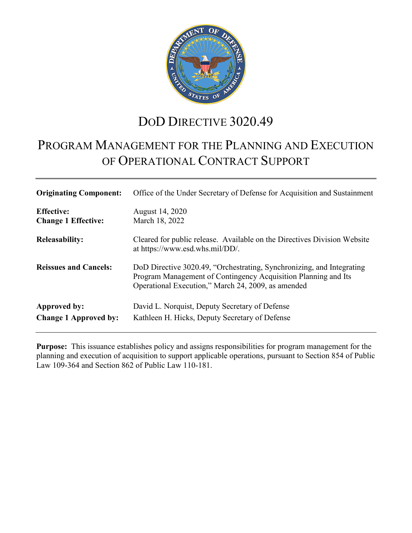

# DOD DIRECTIVE 3020.49

# PROGRAM MANAGEMENT FOR THE PLANNING AND EXECUTION OF OPERATIONAL CONTRACT SUPPORT

| <b>Originating Component:</b>                   | Office of the Under Secretary of Defense for Acquisition and Sustainment                                                                                                                      |
|-------------------------------------------------|-----------------------------------------------------------------------------------------------------------------------------------------------------------------------------------------------|
| <b>Effective:</b><br><b>Change 1 Effective:</b> | August 14, 2020<br>March 18, 2022                                                                                                                                                             |
| <b>Releasability:</b>                           | Cleared for public release. Available on the Directives Division Website<br>at https://www.esd.whs.mil/DD/.                                                                                   |
| <b>Reissues and Cancels:</b>                    | DoD Directive 3020.49, "Orchestrating, Synchronizing, and Integrating<br>Program Management of Contingency Acquisition Planning and Its<br>Operational Execution," March 24, 2009, as amended |
| Approved by:<br><b>Change 1 Approved by:</b>    | David L. Norquist, Deputy Secretary of Defense<br>Kathleen H. Hicks, Deputy Secretary of Defense                                                                                              |

**Purpose:** This issuance establishes policy and assigns responsibilities for program management for the planning and execution of acquisition to support applicable operations, pursuant to Section 854 of Public Law 109-364 and Section 862 of Public Law 110-181.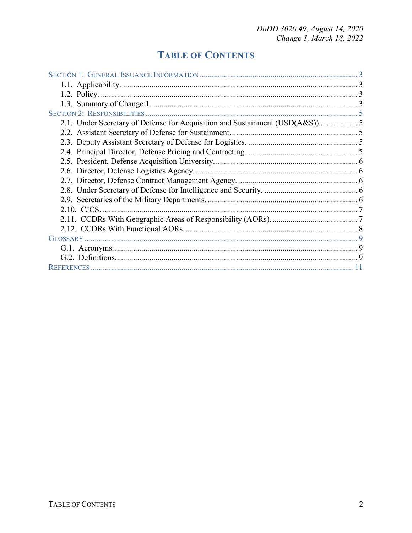## **TABLE OF CONTENTS**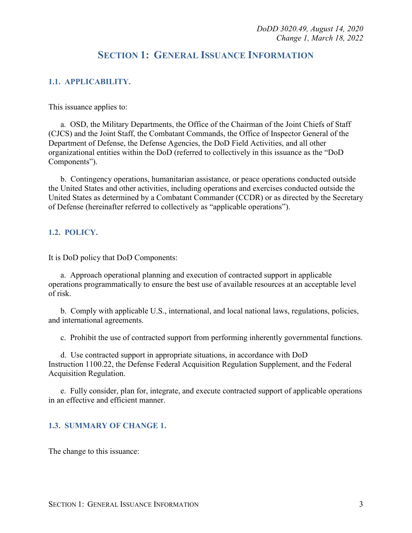## **SECTION 1: GENERAL ISSUANCE INFORMATION**

#### <span id="page-2-1"></span><span id="page-2-0"></span>**1.1. APPLICABILITY.**

This issuance applies to:

a. OSD, the Military Departments, the Office of the Chairman of the Joint Chiefs of Staff (CJCS) and the Joint Staff, the Combatant Commands, the Office of Inspector General of the Department of Defense, the Defense Agencies, the DoD Field Activities, and all other organizational entities within the DoD (referred to collectively in this issuance as the "DoD Components").

b. Contingency operations, humanitarian assistance, or peace operations conducted outside the United States and other activities, including operations and exercises conducted outside the United States as determined by a Combatant Commander (CCDR) or as directed by the Secretary of Defense (hereinafter referred to collectively as "applicable operations").

#### <span id="page-2-2"></span>**1.2. POLICY.**

It is DoD policy that DoD Components:

a. Approach operational planning and execution of contracted support in applicable operations programmatically to ensure the best use of available resources at an acceptable level of risk.

b. Comply with applicable U.S., international, and local national laws, regulations, policies, and international agreements.

c. Prohibit the use of contracted support from performing inherently governmental functions.

d. Use contracted support in appropriate situations, in accordance with DoD Instruction 1100.22, the Defense Federal Acquisition Regulation Supplement, and the Federal Acquisition Regulation.

e. Fully consider, plan for, integrate, and execute contracted support of applicable operations in an effective and efficient manner.

#### <span id="page-2-3"></span>**1.3. SUMMARY OF CHANGE 1.**

The change to this issuance: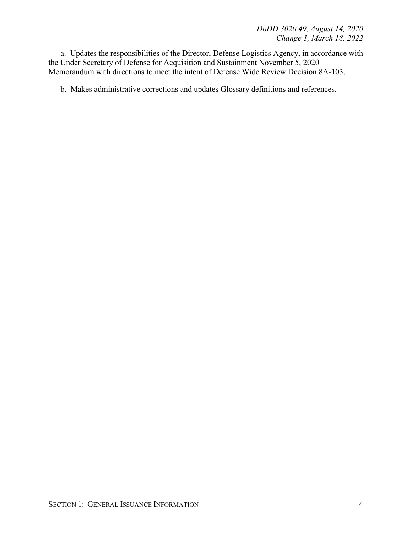a. Updates the responsibilities of the Director, Defense Logistics Agency, in accordance with the Under Secretary of Defense for Acquisition and Sustainment November 5, 2020 Memorandum with directions to meet the intent of Defense Wide Review Decision 8A-103.

b. Makes administrative corrections and updates Glossary definitions and references.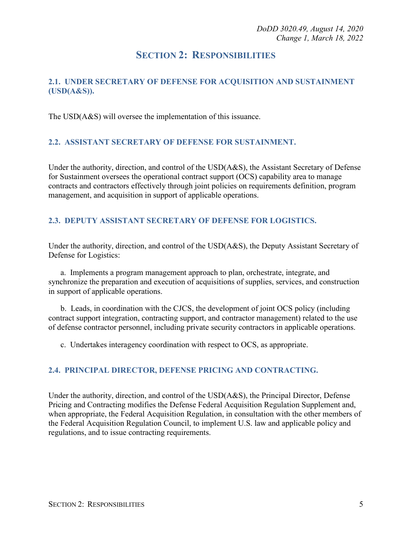## **SECTION 2: RESPONSIBILITIES**

#### <span id="page-4-1"></span><span id="page-4-0"></span>**2.1. UNDER SECRETARY OF DEFENSE FOR ACQUISITION AND SUSTAINMENT (USD(A&S)).**

The USD(A&S) will oversee the implementation of this issuance.

#### <span id="page-4-2"></span>**2.2. ASSISTANT SECRETARY OF DEFENSE FOR SUSTAINMENT.**

Under the authority, direction, and control of the USD(A&S), the Assistant Secretary of Defense for Sustainment oversees the operational contract support (OCS) capability area to manage contracts and contractors effectively through joint policies on requirements definition, program management, and acquisition in support of applicable operations.

#### <span id="page-4-3"></span>**2.3. DEPUTY ASSISTANT SECRETARY OF DEFENSE FOR LOGISTICS.**

Under the authority, direction, and control of the USD(A&S), the Deputy Assistant Secretary of Defense for Logistics:

a. Implements a program management approach to plan, orchestrate, integrate, and synchronize the preparation and execution of acquisitions of supplies, services, and construction in support of applicable operations.

b. Leads, in coordination with the CJCS, the development of joint OCS policy (including contract support integration, contracting support, and contractor management) related to the use of defense contractor personnel, including private security contractors in applicable operations.

c. Undertakes interagency coordination with respect to OCS, as appropriate.

#### <span id="page-4-4"></span>**2.4. PRINCIPAL DIRECTOR, DEFENSE PRICING AND CONTRACTING.**

Under the authority, direction, and control of the USD(A&S), the Principal Director, Defense Pricing and Contracting modifies the Defense Federal Acquisition Regulation Supplement and, when appropriate, the Federal Acquisition Regulation, in consultation with the other members of the Federal Acquisition Regulation Council, to implement U.S. law and applicable policy and regulations, and to issue contracting requirements.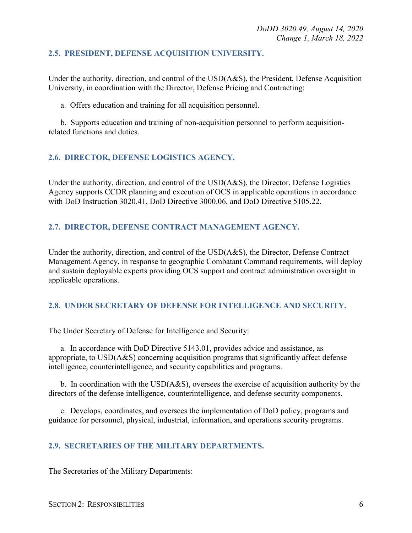#### <span id="page-5-0"></span>**2.5. PRESIDENT, DEFENSE ACQUISITION UNIVERSITY.**

Under the authority, direction, and control of the USD(A&S), the President, Defense Acquisition University, in coordination with the Director, Defense Pricing and Contracting:

a. Offers education and training for all acquisition personnel.

b. Supports education and training of non-acquisition personnel to perform acquisitionrelated functions and duties.

#### <span id="page-5-1"></span>**2.6. DIRECTOR, DEFENSE LOGISTICS AGENCY.**

Under the authority, direction, and control of the USD(A&S), the Director, Defense Logistics Agency supports CCDR planning and execution of OCS in applicable operations in accordance with DoD Instruction 3020.41, DoD Directive 3000.06, and DoD Directive 5105.22.

#### <span id="page-5-2"></span>**2.7. DIRECTOR, DEFENSE CONTRACT MANAGEMENT AGENCY.**

Under the authority, direction, and control of the USD(A&S), the Director, Defense Contract Management Agency, in response to geographic Combatant Command requirements, will deploy and sustain deployable experts providing OCS support and contract administration oversight in applicable operations.

#### <span id="page-5-3"></span>**2.8. UNDER SECRETARY OF DEFENSE FOR INTELLIGENCE AND SECURITY.**

The Under Secretary of Defense for Intelligence and Security:

a. In accordance with DoD Directive 5143.01, provides advice and assistance, as appropriate, to USD(A&S) concerning acquisition programs that significantly affect defense intelligence, counterintelligence, and security capabilities and programs.

b. In coordination with the USD(A&S), oversees the exercise of acquisition authority by the directors of the defense intelligence, counterintelligence, and defense security components.

c. Develops, coordinates, and oversees the implementation of DoD policy, programs and guidance for personnel, physical, industrial, information, and operations security programs.

#### <span id="page-5-4"></span>**2.9. SECRETARIES OF THE MILITARY DEPARTMENTS.**

The Secretaries of the Military Departments: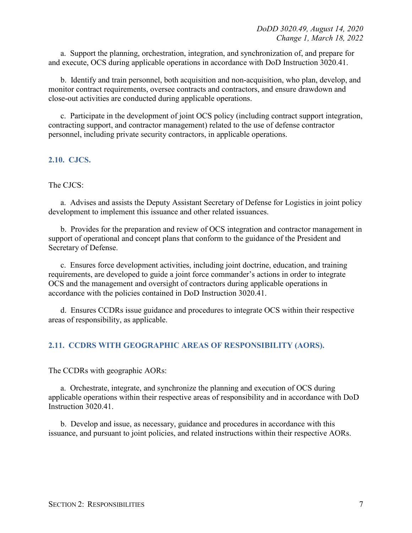a. Support the planning, orchestration, integration, and synchronization of, and prepare for and execute, OCS during applicable operations in accordance with DoD Instruction 3020.41.

b. Identify and train personnel, both acquisition and non-acquisition, who plan, develop, and monitor contract requirements, oversee contracts and contractors, and ensure drawdown and close-out activities are conducted during applicable operations.

c. Participate in the development of joint OCS policy (including contract support integration, contracting support, and contractor management) related to the use of defense contractor personnel, including private security contractors, in applicable operations.

#### <span id="page-6-0"></span>**2.10. CJCS.**

#### The CJCS:

a. Advises and assists the Deputy Assistant Secretary of Defense for Logistics in joint policy development to implement this issuance and other related issuances.

b. Provides for the preparation and review of OCS integration and contractor management in support of operational and concept plans that conform to the guidance of the President and Secretary of Defense.

c. Ensures force development activities, including joint doctrine, education, and training requirements, are developed to guide a joint force commander's actions in order to integrate OCS and the management and oversight of contractors during applicable operations in accordance with the policies contained in DoD Instruction 3020.41.

d. Ensures CCDRs issue guidance and procedures to integrate OCS within their respective areas of responsibility, as applicable.

#### <span id="page-6-1"></span>**2.11. CCDRS WITH GEOGRAPHIC AREAS OF RESPONSIBILITY (AORS).**

The CCDRs with geographic AORs:

a. Orchestrate, integrate, and synchronize the planning and execution of OCS during applicable operations within their respective areas of responsibility and in accordance with DoD Instruction 3020.41.

b. Develop and issue, as necessary, guidance and procedures in accordance with this issuance, and pursuant to joint policies, and related instructions within their respective AORs.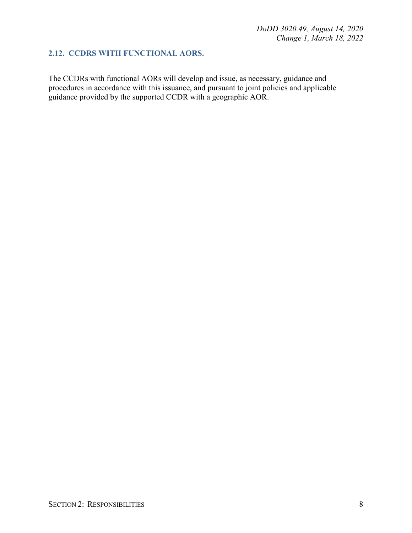#### <span id="page-7-0"></span>**2.12. CCDRS WITH FUNCTIONAL AORS.**

The CCDRs with functional AORs will develop and issue, as necessary, guidance and procedures in accordance with this issuance, and pursuant to joint policies and applicable guidance provided by the supported CCDR with a geographic AOR.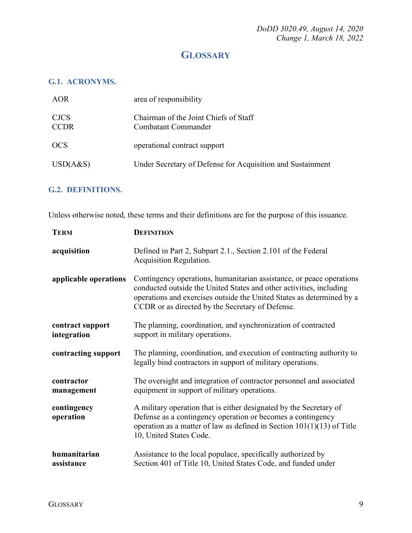## **GLOSSARY**

#### <span id="page-8-1"></span><span id="page-8-0"></span>**G.1. ACRONYMS.**

| AOR                        | area of responsibility                                       |
|----------------------------|--------------------------------------------------------------|
| <b>CJCS</b><br><b>CCDR</b> | Chairman of the Joint Chiefs of Staff<br>Combatant Commander |
| <b>OCS</b>                 | operational contract support                                 |
| USD(A&S)                   | Under Secretary of Defense for Acquisition and Sustainment   |
|                            |                                                              |

### <span id="page-8-2"></span>**G.2. DEFINITIONS.**

Unless otherwise noted, these terms and their definitions are for the purpose of this issuance.

| <b>TERM</b>                     | <b>DEFINITION</b>                                                                                                                                                                                                                                                        |
|---------------------------------|--------------------------------------------------------------------------------------------------------------------------------------------------------------------------------------------------------------------------------------------------------------------------|
| acquisition                     | Defined in Part 2, Subpart 2.1., Section 2.101 of the Federal<br>Acquisition Regulation.                                                                                                                                                                                 |
| applicable operations           | Contingency operations, humanitarian assistance, or peace operations<br>conducted outside the United States and other activities, including<br>operations and exercises outside the United States as determined by a<br>CCDR or as directed by the Secretary of Defense. |
| contract support<br>integration | The planning, coordination, and synchronization of contracted<br>support in military operations.                                                                                                                                                                         |
| contracting support             | The planning, coordination, and execution of contracting authority to<br>legally bind contractors in support of military operations.                                                                                                                                     |
| contractor<br>management        | The oversight and integration of contractor personnel and associated<br>equipment in support of military operations.                                                                                                                                                     |
| contingency<br>operation        | A military operation that is either designated by the Secretary of<br>Defense as a contingency operation or becomes a contingency<br>operation as a matter of law as defined in Section $101(1)(13)$ of Title<br>10, United States Code.                                 |
| humanitarian<br>assistance      | Assistance to the local populace, specifically authorized by<br>Section 401 of Title 10, United States Code, and funded under                                                                                                                                            |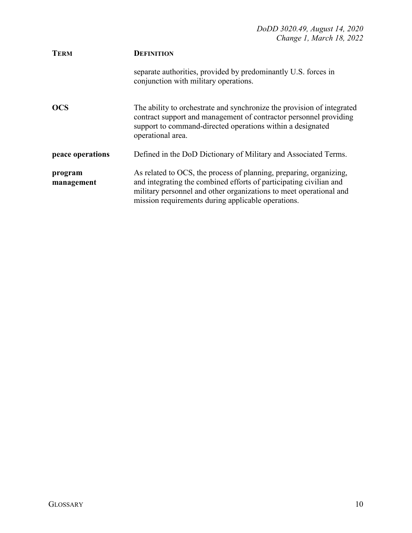| <b>TERM</b>           | <b>DEFINITION</b>                                                                                                                                                                                                                                                    |
|-----------------------|----------------------------------------------------------------------------------------------------------------------------------------------------------------------------------------------------------------------------------------------------------------------|
|                       | separate authorities, provided by predominantly U.S. forces in<br>conjunction with military operations.                                                                                                                                                              |
| <b>OCS</b>            | The ability to orchestrate and synchronize the provision of integrated<br>contract support and management of contractor personnel providing<br>support to command-directed operations within a designated<br>operational area.                                       |
| peace operations      | Defined in the DoD Dictionary of Military and Associated Terms.                                                                                                                                                                                                      |
| program<br>management | As related to OCS, the process of planning, preparing, organizing,<br>and integrating the combined efforts of participating civilian and<br>military personnel and other organizations to meet operational and<br>mission requirements during applicable operations. |